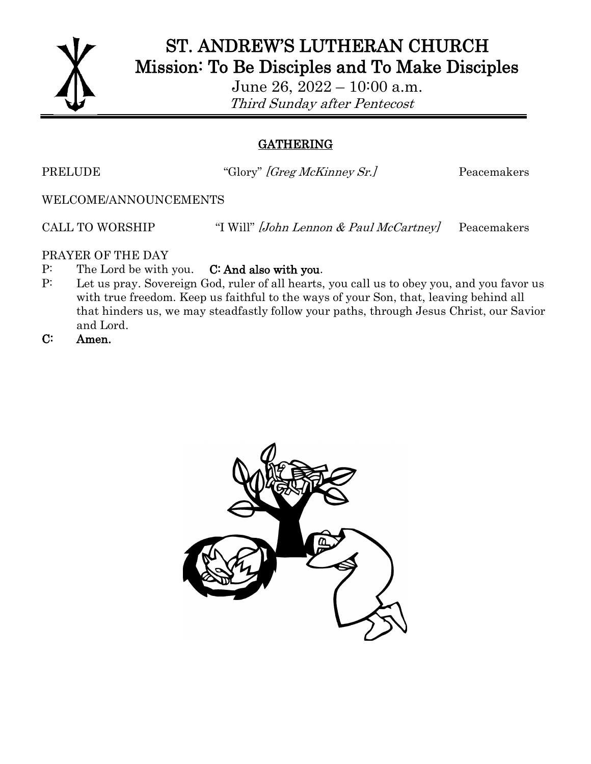

## ST. ANDREW'S LUTHERAN CHURCH Mission: To Be Disciples and To Make Disciples

June 26, 2022 – 10:00 a.m. Third Sunday after Pentecost

## GATHERING

PRELUDE "Glory" *[Greg McKinney Sr.]* Peacemakers

WELCOME/ANNOUNCEMENTS

CALL TO WORSHIP "I Will" [John Lennon & Paul McCartney] Peacemakers

PRAYER OF THE DAY

- P: The Lord be with you. C: And also with you.
- P: Let us pray. Sovereign God, ruler of all hearts, you call us to obey you, and you favor us with true freedom. Keep us faithful to the ways of your Son, that, leaving behind all that hinders us, we may steadfastly follow your paths, through Jesus Christ, our Savior and Lord.
- C: Amen.

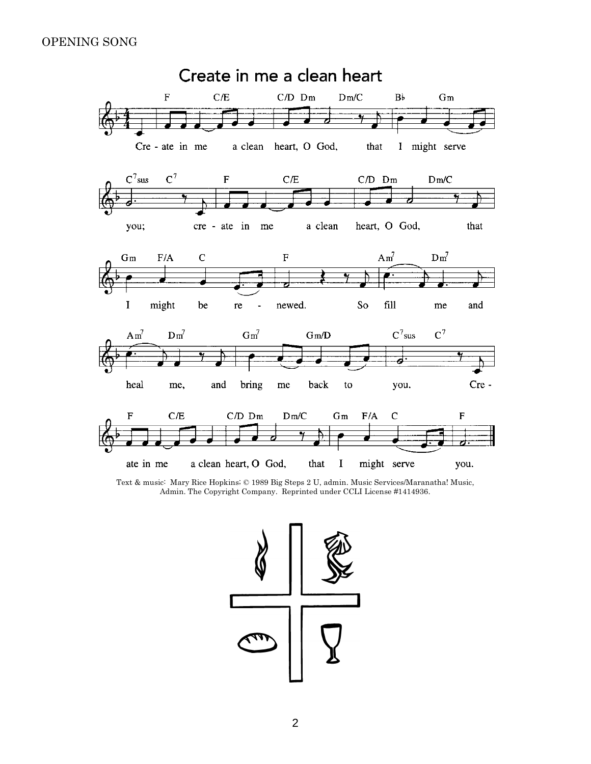#### OPENING SONG



Text & music: Mary Rice Hopkins; © 1989 Big Steps 2 U, admin. Music Services/Maranatha! Music, Admin. The Copyright Company. Reprinted under CCLI License #1414936.

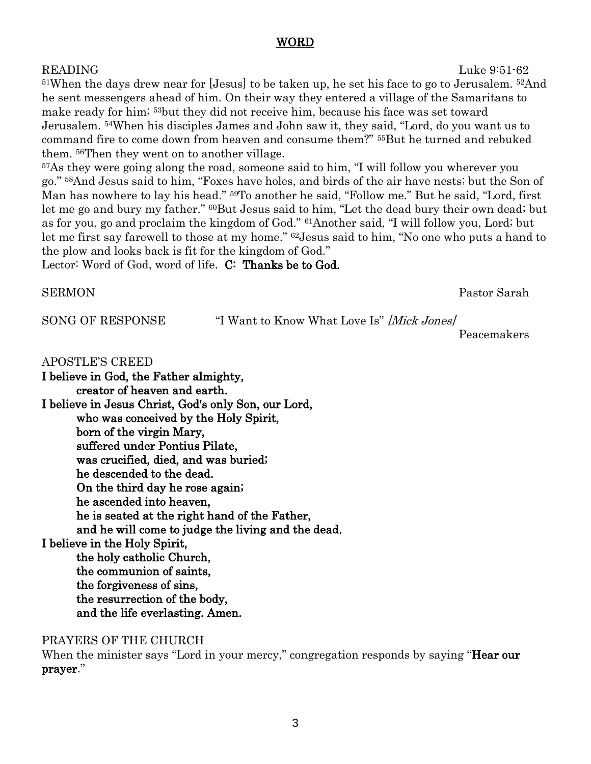#### WORD

READING Luke 9:51-62 <sup>51</sup>When the days drew near for [Jesus] to be taken up, he set his face to go to Jerusalem. <sup>52</sup>And he sent messengers ahead of him. On their way they entered a village of the Samaritans to make ready for him; <sup>53</sup>but they did not receive him, because his face was set toward Jerusalem. <sup>54</sup>When his disciples James and John saw it, they said, "Lord, do you want us to command fire to come down from heaven and consume them?" <sup>55</sup>But he turned and rebuked them. <sup>56</sup>Then they went on to another village.

<sup>57</sup>As they were going along the road, someone said to him, "I will follow you wherever you go." <sup>58</sup>And Jesus said to him, "Foxes have holes, and birds of the air have nests; but the Son of Man has nowhere to lay his head." <sup>59</sup>To another he said, "Follow me." But he said, "Lord, first let me go and bury my father." <sup>60</sup>But Jesus said to him, "Let the dead bury their own dead; but as for you, go and proclaim the kingdom of God." <sup>61</sup>Another said, "I will follow you, Lord; but let me first say farewell to those at my home." <sup>62</sup>Jesus said to him, "No one who puts a hand to the plow and looks back is fit for the kingdom of God."

Lector: Word of God, word of life. C: Thanks be to God.

SERMON Pastor Sarah

SONG OF RESPONSE "I Want to Know What Love Is" *[Mick Jones]* 

Peacemakers

APOSTLE'S CREED

I believe in God, the Father almighty, creator of heaven and earth. I believe in Jesus Christ, God's only Son, our Lord, who was conceived by the Holy Spirit, born of the virgin Mary, suffered under Pontius Pilate, was crucified, died, and was buried; he descended to the dead. On the third day he rose again; he ascended into heaven, he is seated at the right hand of the Father, and he will come to judge the living and the dead. I believe in the Holy Spirit, the holy catholic Church, the communion of saints, the forgiveness of sins, the resurrection of the body, and the life everlasting. Amen.

PRAYERS OF THE CHURCH

When the minister says "Lord in your mercy," congregation responds by saying "**Hear our** prayer."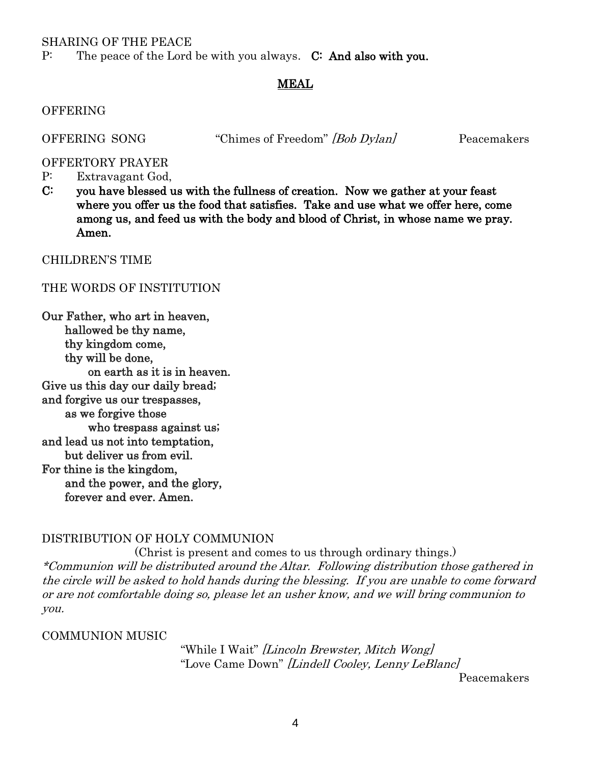#### SHARING OF THE PEACE

P: The peace of the Lord be with you always. C: And also with you.

#### MEAL

#### OFFERING

OFFERING SONG "Chimes of Freedom" [Bob Dylan] Peacemakers

OFFERTORY PRAYER

- P: Extravagant God,
- C: you have blessed us with the fullness of creation. Now we gather at your feast where you offer us the food that satisfies. Take and use what we offer here, come among us, and feed us with the body and blood of Christ, in whose name we pray. Amen.

CHILDREN'S TIME

#### THE WORDS OF INSTITUTION

Our Father, who art in heaven, hallowed be thy name, thy kingdom come, thy will be done, on earth as it is in heaven. Give us this day our daily bread; and forgive us our trespasses, as we forgive those who trespass against us; and lead us not into temptation, but deliver us from evil. For thine is the kingdom, and the power, and the glory, forever and ever. Amen.

#### DISTRIBUTION OF HOLY COMMUNION

(Christ is present and comes to us through ordinary things.) \*Communion will be distributed around the Altar. Following distribution those gathered in the circle will be asked to hold hands during the blessing. If you are unable to come forward or are not comfortable doing so, please let an usher know, and we will bring communion to you.

#### COMMUNION MUSIC

"While I Wait" *[Lincoln Brewster, Mitch Wong]* "Love Came Down" [Lindell Cooley, Lenny LeBlanc]

Peacemakers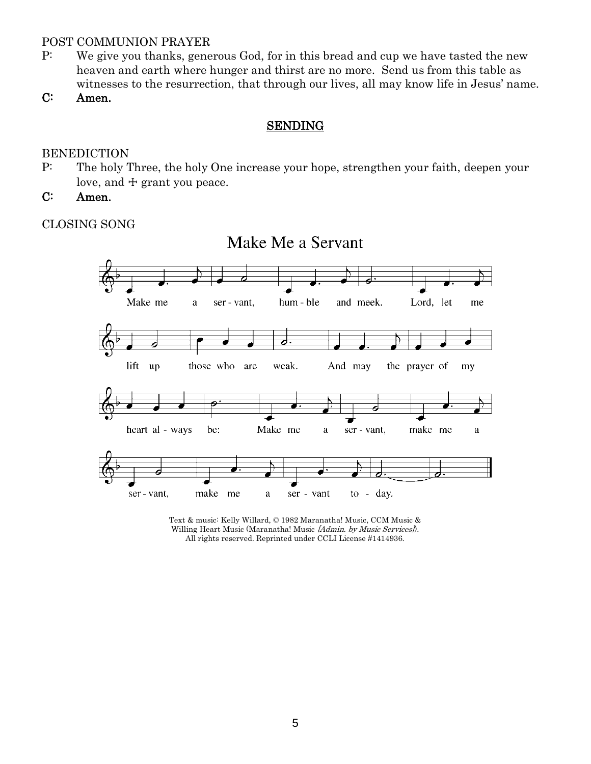### POST COMMUNION PRAYER

- P: We give you thanks, generous God, for in this bread and cup we have tasted the new heaven and earth where hunger and thirst are no more. Send us from this table as witnesses to the resurrection, that through our lives, all may know life in Jesus' name.
- C: Amen.

#### SENDING

#### BENEDICTION

- P: The holy Three, the holy One increase your hope, strengthen your faith, deepen your love, and  $\pm$  grant you peace.
- C: Amen.

CLOSING SONG



Text & music: Kelly Willard, © 1982 Maranatha! Music, CCM Music & Willing Heart Music (Maranatha! Music [Admin. by Music Services]). All rights reserved. Reprinted under CCLI License #1414936.

# Make Me a Servant